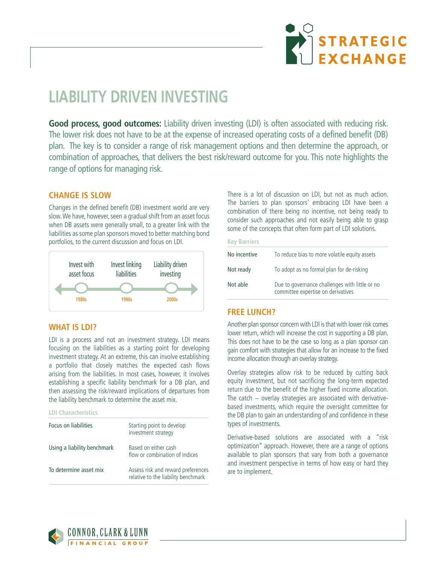

# **LIABILITY DRIVEN INVESTING**

**Good process, good outcomes:** Liability driven investing (LDI) is often associated with reducing risk. The lower risk does not have to be at the expense of increased operating costs of a defined benefit (DB) plan. The key is to consider a range of risk management options and then determine the approach, or combination of approaches, that delivers the best risk/reward outcome for you. This note highlights the range of options for managing risk.

## **CHANGE IS SLOW**

Changes in the defined benefit (DB) investment world are very slow. We have, however, seen a gradual shift from an asset focus when DB assets were generally small, to a greater link with the liabilities as some plan sponsors moved to better matching bond portfolios, to the current discussion and focus on LDI.



#### **WHAT IS LDI?**

LDI is a process and not an investment strategy. LDI means focusing on the liabilities as a starting point for developing investment strategy. At an extreme, this can involve establishing a portfolio that closely matches the expected cash flows arising from the liabilities. In most cases, however, it involves establishing a specific liability benchmark for a DB plan, and then assessing the risk/reward implications of departures from the liability benchmark to determine the asset mix.

**LDI Characteristics**

| Focus on liabilities        | Starting point to develop<br>investment strategy                          |
|-----------------------------|---------------------------------------------------------------------------|
| Using a liability benchmark | Based on either cash<br>flow or combination of indices                    |
| To determine asset mix      | Assess risk and reward preferences<br>relative to the liability benchmark |

There is a lot of discussion on LDI, but not as much action. The barriers to plan sponsors' embracing LDI have been a combination of there being no incentive, not being ready to consider such approaches and not easily being able to grasp some of the concepts that often form part of LDI solutions.

|--|--|--|

| No incentive | To reduce bias to more volatile equity assets                                        |
|--------------|--------------------------------------------------------------------------------------|
| Not ready    | To adopt as no formal plan for de-risking                                            |
| Not able     | Due to governance challenges with little or no<br>committee expertise on derivatives |

## **FREE LUNCH?**

Another plan sponsor concern with LDI is that with lower risk comes lower return, which will increase the cost in supporting a DB plan. This does not have to be the case so long as a plan sponsor can gain comfort with strategies that allow for an increase to the fixed income allocation through an overlay strategy.

Overlay strategies allow risk to be reduced by cutting back equity investment, but not sacrificing the long-term expected return due to the benefit of the higher fixed income allocation. The catch – overlay strategies are associated with derivativebased investments, which require the oversight committee for the DB plan to gain an understanding of and confidence in these types of investments.

Derivative-based solutions are associated with a "risk optimization" approach. However, there are a range of options available to plan sponsors that vary from both a governance and investment perspective in terms of how easy or hard they are to implement.